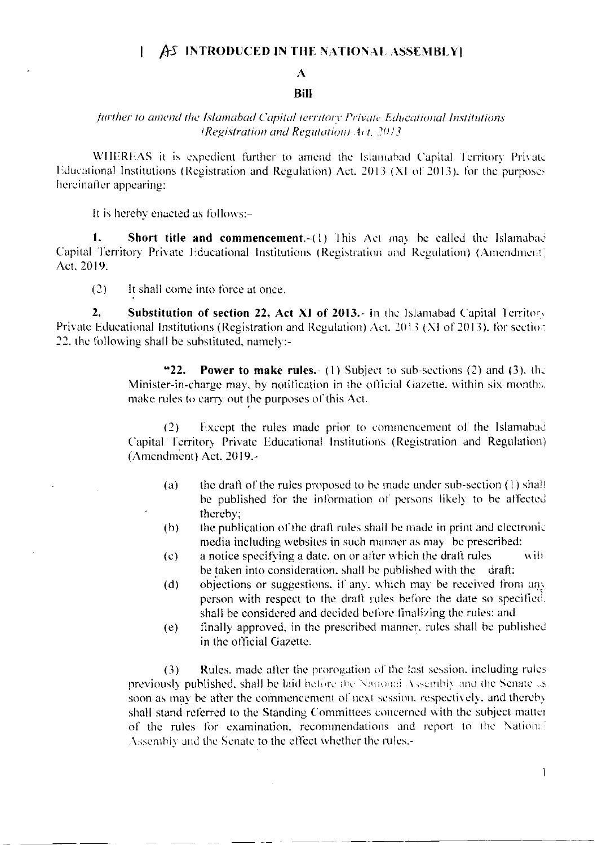#### AS INTRODUCED IN THE NATIONAL ASSEMBLY  $\mathbf{I}$

# A

### **Bill**

## further to amend the Islamabad Capital territory Private Educational Institutions (Registration and Regulation) Act, 2013.

WHEREAS it is expedient further to amend the Islamabad Capital Territory Private Educational Institutions (Registration and Regulation) Act, 2013 (XI of 2013), for the purposes hereinafter appearing:

It is hereby enacted as follows:-

 $\mathbf{1}$ . Short title and commencement. (1) This Act may be called the Islamabad Capital Territory Private Educational Institutions (Registration and Regulation) (Amendment) Act. 2019.

 $(2)$ It shall come into force at once.

 $2.$ Substitution of section 22, Act XI of 2013.- in the Islamabad Capital Territory Private Educational Institutions (Registration and Regulation) Act. 2013 (XI of 2013), for section 22, the following shall be substituted, namely:-

> $"22.$ **Power to make rules.** (1) Subject to sub-sections (2) and (3), the Minister-in-charge may, by notification in the official Gazette, within six months. make rules to carry out the purposes of this Act.

> Except the rules made prior to commencement of the Islamabad  $(2)$ Capital Territory Private Educational Institutions (Registration and Regulation) (Amendment) Act. 2019.-

- the draft of the rules proposed to be made under sub-section (1) shall  $\left( a\right)$ be published for the information of persons likely to be affected thereby:
- $(b)$ the publication of the draft rules shall be made in print and electronic media including websites in such manner as may be prescribed:
- $(c)$ a notice specifying a date, on or after which the draft rules will be taken into consideration, shall be published with the draft:
- objections or suggestions, if any, which may be received from any  $(d)$ person with respect to the draft rules before the date so specified. shall be considered and decided before finalizing the rules: and
- finally approved, in the prescribed manner, rules shall be published  $(e)$ in the official Gazette.

Rules, made after the prorogation of the fast session, including rules  $(3)$ previously published, shall be laid before the National Assembly and the Senate as soon as may be after the commencement of next session, respectively, and thereby shall stand referred to the Standing Committees concerned with the subject matter of the rules for examination, recommendations and report to the National Assembly and the Senate to the effect whether the rules,-

 $\mathbf{I}$